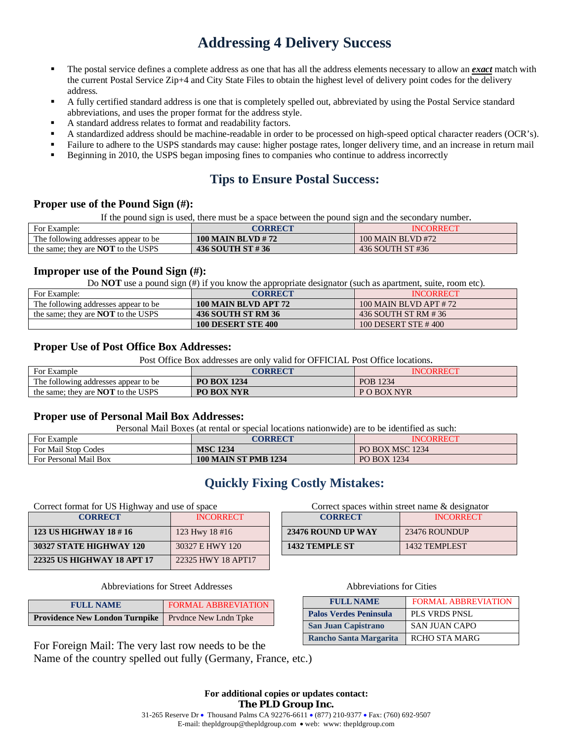# **Addressing 4 Delivery Success**

- The postal service defines a complete address as one that has all the address elements necessary to allow an *exact* match with the current Postal Service Zip+4 and City State Files to obtain the highest level of delivery point codes for the delivery address.
- A fully certified standard address is one that is completely spelled out, abbreviated by using the Postal Service standard abbreviations, and uses the proper format for the address style.
- A standard address relates to format and readability factors.
- A standardized address should be machine-readable in order to be processed on high-speed optical character readers (OCR's).
- Failure to adhere to the USPS standards may cause: higher postage rates, longer delivery time, and an increase in return mail
- Beginning in 2010, the USPS began imposing fines to companies who continue to address incorrectly

## **Tips to Ensure Postal Success:**

### **Proper use of the Pound Sign (#):**

If the pound sign is used, there must be a space between the pound sign and the secondary number.

| For Example:                              | CORRECT           | <b>INCORRECT</b>  |
|-------------------------------------------|-------------------|-------------------|
| The following addresses appear to be.     | 100 MAIN BLVD #72 | 100 MAIN BLVD #72 |
| the same; they are <b>NOT</b> to the USPS | 436 SOUTH ST #36  | 436 SOUTH ST #36  |

### **Improper use of the Pound Sign (#):**

Do **NOT** use a pound sign (#) if you know the appropriate designator (such as apartment, suite, room etc).

| For Example:                              | CORRECT                   | <b>INCORRECT</b>      |
|-------------------------------------------|---------------------------|-----------------------|
| The following addresses appear to be      | 100 MAIN BLVD APT 72      | 100 MAIN BLVD APT #72 |
| the same: they are <b>NOT</b> to the USPS | 436 SOUTH ST RM 36        | 436 SOUTH ST RM #36   |
|                                           | <b>100 DESERT STE 400</b> | 100 DESERT STE #400   |

### **Proper Use of Post Office Box Addresses:**

Post Office Box addresses are only valid for OFFICIAL Post Office locations.

| For Example                               | CORRECT            | <b>INCORRECT</b> |
|-------------------------------------------|--------------------|------------------|
| The following addresses appear to be      | <b>PO BOX 1234</b> | POB 1234         |
| the same; they are <b>NOT</b> to the USPS | <b>PO BOX NYR</b>  | P O BOX NYR      |

#### **Proper use of Personal Mail Box Addresses:**

Personal Mail Boxes (at rental or special locations nationwide) are to be identified as such:

| For Example           | CORRECT                     | <b>INCORRECT</b>   |
|-----------------------|-----------------------------|--------------------|
| For Mail Stop Codes   | <b>MSC 1234</b>             | PO BOX MSC 1234    |
| For Personal Mail Box | <b>100 MAIN ST PMB 1234</b> | <b>PO BOX 1234</b> |

## **Quickly Fixing Costly Mistakes:**

Correct format for US Highway and use of space Correct spaces within street name & designator

| <b>CORRECT</b>             | <b>INCORRECT</b>   | <b>CORRECT</b>            | <b>INCORRE</b> |
|----------------------------|--------------------|---------------------------|----------------|
| 123 US HIGHWAY 18 #16      | 123 Hwy $18 \# 16$ | <b>23476 ROUND UP WAY</b> | 23476 ROUNDUP  |
| 30327 STATE HIGHWAY 120    | 30327 E HWY 120    | <b>1432 TEMPLE ST</b>     | 1432 TEMPLEST  |
| 22325 US HIGHWAY 18 APT 17 | 22325 HWY 18 APT17 |                           |                |

#### Abbreviations for Street Addresses Abbreviations for Cities

| <b>FULL NAME</b>                                            | FORMAL ABBREVIATION |
|-------------------------------------------------------------|---------------------|
| <b>Providence New London Turnpike</b> Prvdnce New Lndn Tpke |                     |

For Foreign Mail: The very last row needs to be the Name of the country spelled out fully (Germany, France, etc.)

| <b>CORRECT</b> | <b>INCORRECT</b>   | <b>CORRECT</b>        | <b>INCORRECT</b> |
|----------------|--------------------|-----------------------|------------------|
| HWAY 18 # 16   | 123 Hwy $18 \# 16$ | 23476 ROUND UP WAY    | 23476 ROUNDUP    |
| E HIGHWAY 120  | 30327 E HWY 120    | <b>1432 TEMPLE ST</b> | 1432 TEMPLEST    |

| <b>FULL NAME</b>              | <b>FORMAL ABBREVIATION</b> |
|-------------------------------|----------------------------|
| <b>Palos Verdes Peninsula</b> | <b>PLS VRDS PNSL</b>       |
| <b>San Juan Capistrano</b>    | <b>SAN JUAN CAPO</b>       |
| <b>Rancho Santa Margarita</b> | <b>RCHO STA MARG</b>       |